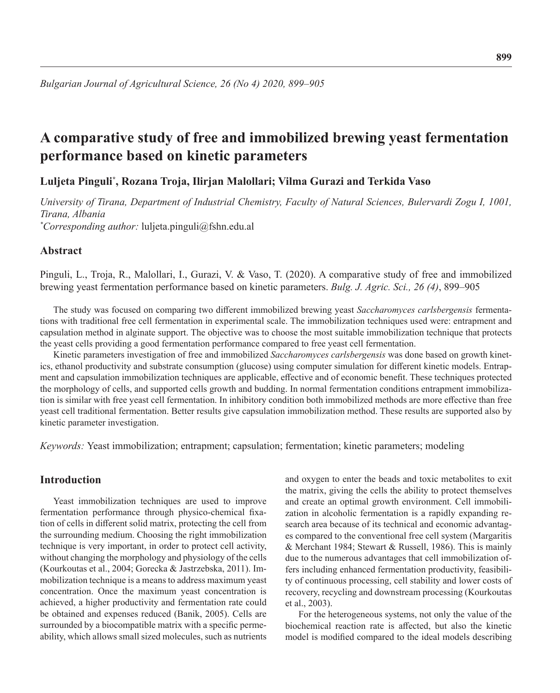# **A comparative study of free and immobilized brewing yeast fermentation performance based on kinetic parameters**

# **Luljeta Pinguli\* , Rozana Troja, Ilirjan Malollari; Vilma Gurazi and Terkida Vaso**

*University of Tirana, Department of Industrial Chemistry, Faculty of Natural Sciences, Bulervardi Zogu I, 1001, Tirana, Albania \* Corresponding author:* luljeta.pinguli@fshn.edu.al

# **Abstract**

Pinguli, L., Troja, R., Malollari, I., Gurazi, V. & Vaso, T. (2020). A comparative study of free and immobilized brewing yeast fermentation performance based on kinetic parameters. *Bulg. J. Agric. Sci., 26 (4)*, 899–905

The study was focused on comparing two different immobilized brewing yeast *Saccharomyces carlsbergensis* fermentations with traditional free cell fermentation in experimental scale. The immobilization techniques used were: entrapment and capsulation method in alginate support. The objective was to choose the most suitable immobilization technique that protects the yeast cells providing a good fermentation performance compared to free yeast cell fermentation.

Kinetic parameters investigation of free and immobilized *Saccharomyces carlsbergensis* was done based on growth kinetics, ethanol productivity and substrate consumption (glucose) using computer simulation for different kinetic models. Entrapment and capsulation immobilization techniques are applicable, effective and of economic benefit. These techniques protected the morphology of cells, and supported cells growth and budding. In normal fermentation conditions entrapment immobilization is similar with free yeast cell fermentation. In inhibitory condition both immobilized methods are more effective than free yeast cell traditional fermentation. Better results give capsulation immobilization method. These results are supported also by kinetic parameter investigation.

*Keywords:* Yeast immobilization; entrapment; capsulation; fermentation; kinetic parameters; modeling

# **Introduction**

Yeast immobilization techniques are used to improve fermentation performance through physico-chemical fixation of cells in different solid matrix, protecting the cell from the surrounding medium. Choosing the right immobilization technique is very important, in order to protect cell activity, without changing the morphology and physiology of the cells (Kourkoutas et al., 2004; Gorecka & Jastrzebska, 2011). Immobilization technique is a means to address maximum yeast concentration. Once the maximum yeast concentration is achieved, a higher productivity and fermentation rate could be obtained and expenses reduced (Banik, 2005). Cells are surrounded by a biocompatible matrix with a specific permeability, which allows small sized molecules, such as nutrients

and oxygen to enter the beads and toxic metabolites to exit the matrix, giving the cells the ability to protect themselves and create an optimal growth environment. Cell immobilization in alcoholic fermentation is a rapidly expanding research area because of its technical and economic advantages compared to the conventional free cell system (Margaritis & Merchant 1984; Stewart & Russell, 1986). This is mainly due to the numerous advantages that cell immobilization offers including enhanced fermentation productivity, feasibility of continuous processing, cell stability and lower costs of recovery, recycling and downstream processing (Kourkoutas et al., 2003).

For the heterogeneous systems, not only the value of the biochemical reaction rate is affected, but also the kinetic model is modified compared to the ideal models describing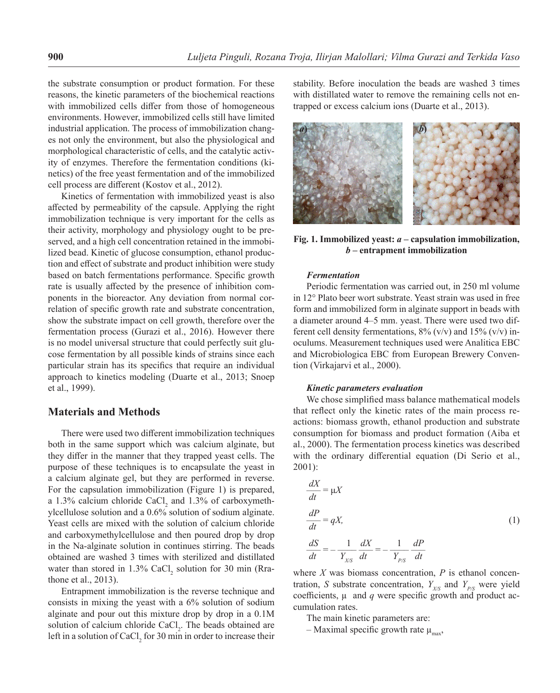the substrate consumption or product formation. For these reasons, the kinetic parameters of the biochemical reactions with immobilized cells differ from those of homogeneous environments. However, immobilized cells still have limited industrial application. The process of immobilization changes not only the environment, but also the physiological and morphological characteristic of cells, and the catalytic activity of enzymes. Therefore the fermentation conditions (kinetics) of the free yeast fermentation and of the immobilized cell process are different (Kostov et al., 2012).

Kinetics of fermentation with immobilized yeast is also affected by permeability of the capsule. Applying the right immobilization technique is very important for the cells as their activity, morphology and physiology ought to be preserved, and a high cell concentration retained in the immobilized bead. Kinetic of glucose consumption, ethanol production and effect of substrate and product inhibition were study based on batch fermentations performance. Specific growth rate is usually affected by the presence of inhibition components in the bioreactor. Any deviation from normal correlation of specific growth rate and substrate concentration, show the substrate impact on cell growth, therefore over the fermentation process (Gurazi et al., 2016). However there is no model universal structure that could perfectly suit glucose fermentation by all possible kinds of strains since each particular strain has its specifics that require an individual approach to kinetics modeling (Duarte et al., 2013; Snoep et al., 1999).

## **Materials and Methods**

There were used two different immobilization techniques both in the same support which was calcium alginate, but they differ in the manner that they trapped yeast cells. The purpose of these techniques is to encapsulate the yeast in a calcium alginate gel, but they are performed in reverse. For the capsulation immobilization (Figure 1) is prepared, a 1.3% calcium chloride  $CaCl<sub>2</sub>$  and 1.3% of carboxymethylcellulose solution and a 0.6% solution of sodium alginate. Yeast cells are mixed with the solution of calcium chloride and carboxymethylcellulose and then poured drop by drop in the Na-alginate solution in continues stirring. The beads obtained are washed 3 times with sterilized and distillated water than stored in  $1.3\%$  CaCl<sub>2</sub> solution for 30 min (Rrathone et al., 2013).

Entrapment immobilization is the reverse technique and consists in mixing the yeast with a 6% solution of sodium alginate and pour out this mixture drop by drop in a 0.1M solution of calcium chloride  $CaCl<sub>2</sub>$ . The beads obtained are left in a solution of  $CaCl<sub>2</sub>$  for 30 min in order to increase their stability. Before inoculation the beads are washed 3 times with distillated water to remove the remaining cells not entrapped or excess calcium ions (Duarte et al., 2013).



**Fig. 1. Immobilized yeast:** *a* **– capsulation immobilization,**  *b* **– entrapment immobilization**

#### *Fermentation*

Periodic fermentation was carried out, in 250 ml volume in 12° Plato beer wort substrate. Yeast strain was used in free form and immobilized form in alginate support in beads with a diameter around 4–5 mm. yeast. There were used two different cell density fermentations,  $8\%$  (v/v) and  $15\%$  (v/v) inoculums. Measurement techniques used were Analitica EBC and Microbiologica EBC from European Brewery Convention (Virkajarvi et al., 2000).

#### *Kinetic parameters evaluation*

We chose simplified mass balance mathematical models that reflect only the kinetic rates of the main process reactions: biomass growth, ethanol production and substrate consumption for biomass and product formation (Aiba et al., 2000). The fermentation process kinetics was described with the ordinary differential equation (Di Serio et al., 2001):

$$
\frac{dX}{dt} = \mu X
$$
  
\n
$$
\frac{dP}{dt} = qX,
$$
  
\n
$$
\frac{dS}{dt} = -\frac{1}{Y_{XX}} \frac{dX}{dt} = -\frac{1}{Y_{PS}} \frac{dP}{dt}
$$
\n(1)

where  $X$  was biomass concentration,  $P$  is ethanol concentration, *S* substrate concentration,  $Y_{X/S}$  and  $Y_{P/S}$  were yield coefficients,  $\mu$  and  $q$  were specific growth and product accumulation rates.

The main kinetic parameters are:

– Maximal specific growth rate  $\mu_{\text{max}}$ ,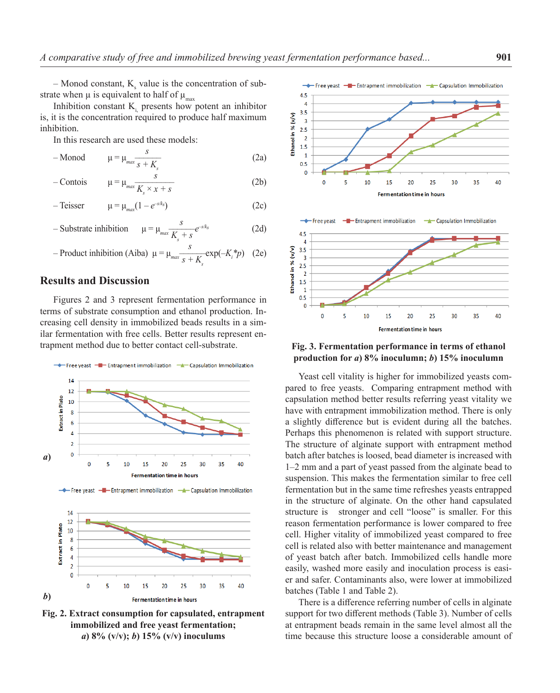$-$  Monod constant,  $K_s$  value is the concentration of substrate when  $\mu$  is equivalent to half of  $\mu_{\text{max}}$ 

Inhibition constant  $K<sub>i</sub>$  presents how potent an inhibitor is, it is the concentration required to produce half maximum inhibition.

In this research are used these models:

- Monod 
$$
\mu = \mu_{max} \frac{s}{s + K_s}
$$
 (2a)

- Contois 
$$
\mu = \mu_{max} \frac{s}{K_s \times x + s}
$$
 (2b)

-Teisser 
$$
\mu = \mu_{max}(1 - e^{-s/k_s})
$$
 (2c)

- Substitute inhibition 
$$
\mu = \mu_{max} \frac{s}{K_s + s} e^{-s/k_s}
$$
 (2d)

- Product inhibition (Aiba) 
$$
\mu = \mu_{max} \frac{s}{s + K_s} \exp(-K_i^* p)
$$
 (2e)

# **Results and Discussion**

Figures 2 and 3 represent fermentation performance in terms of substrate consumption and ethanol production. Increasing cell density in immobilized beads results in a similar fermentation with free cells. Better results represent entrapment method due to better contact cell-substrate.





**Fig. 2. Extract consumption for capsulated, entrapment immobilized and free yeast fermentation;**  *a***) 8% (v/v);** *b***) 15% (v/v) inoculums**



## **Fig. 3. Fermentation performance in terms of ethanol production for** *a***) 8% inoculumn;** *b***) 15% inoculumn**

Yeast cell vitality is higher for immobilized yeasts compared to free yeasts. Comparing entrapment method with capsulation method better results referring yeast vitality we have with entrapment immobilization method. There is only a slightly difference but is evident during all the batches. Perhaps this phenomenon is related with support structure. The structure of alginate support with entrapment method batch after batches is loosed, bead diameter is increased with 1–2 mm and a part of yeast passed from the alginate bead to suspension. This makes the fermentation similar to free cell fermentation but in the same time refreshes yeasts entrapped in the structure of alginate. On the other hand capsulated structure is stronger and cell "loose" is smaller. For this reason fermentation performance is lower compared to free cell. Higher vitality of immobilized yeast compared to free cell is related also with better maintenance and management of yeast batch after batch. Immobilized cells handle more easily, washed more easily and inoculation process is easier and safer. Contaminants also, were lower at immobilized batches (Table 1 and Table 2).

There is a difference referring number of cells in alginate support for two different methods (Table 3). Number of cells at entrapment beads remain in the same level almost all the time because this structure loose a considerable amount of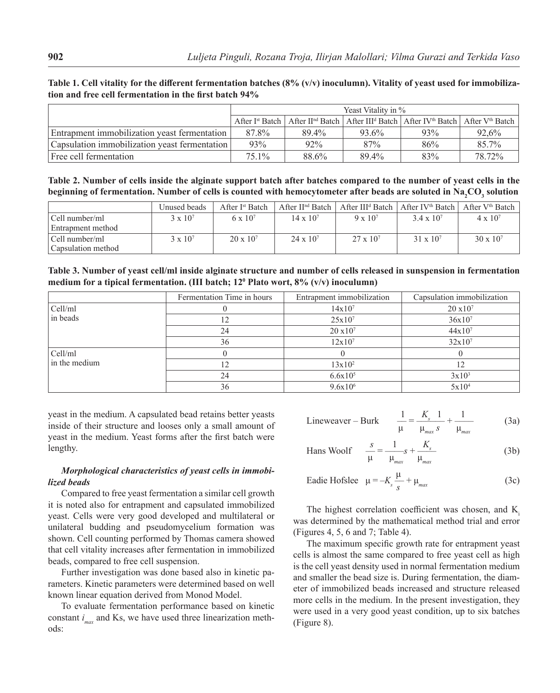|                                               | Yeast Vitality in % |       |       |                                                                                                                                                        |        |  |
|-----------------------------------------------|---------------------|-------|-------|--------------------------------------------------------------------------------------------------------------------------------------------------------|--------|--|
|                                               |                     |       |       | After I <sup>st</sup> Batch   After II <sup>nd</sup> Batch   After III <sup>d</sup> Batch   After IV <sup>th</sup> Batch   After V <sup>th</sup> Batch |        |  |
| Entrapment immobilization yeast fermentation  | 87.8%               | 89.4% | 93.6% | 93%                                                                                                                                                    | 92.6%  |  |
| Capsulation immobilization yeast fermentation | 93%                 | 92%   | 87%   | 86%                                                                                                                                                    | 85.7%  |  |
| Free cell fermentation                        | 75.1%               | 88.6% | 89.4% | 83%                                                                                                                                                    | 78.72% |  |

**Table 1. Cell vitality for the different fermentation batches (8% (v/v) inoculumn). Vitality of yeast used for immobilization and free cell fermentation in the first batch 94%**

**Table 2. Number of cells inside the alginate support batch after batches compared to the number of yeast cells in the**  beginning of fermentation. Number of cells is counted with hemocytometer after beads are soluted in Na<sub>2</sub>CO<sub>3</sub> solution

|                                      | Unused beads      | After I <sup>st</sup> Batch | After $\prod^{\text{nd}}$ Batch |                   | After III <sup>d</sup> Batch   After IV <sup>th</sup> Batch   After V <sup>th</sup> Batch |                    |
|--------------------------------------|-------------------|-----------------------------|---------------------------------|-------------------|-------------------------------------------------------------------------------------------|--------------------|
| Cell number/ml<br>Entrapment method  | $3 \times 10^{7}$ | $6 \times 10^7$             | $14 \times 10^{7}$              | $9 \times 10^{7}$ | $3.4 \times 10^{7}$                                                                       | $4 \times 10^{7}$  |
| Cell number/ml<br>Capsulation method | $3 \times 10^{7}$ | $20 \times 10^{7}$          | $24 \times 10^7$                | $27 \times 10^7$  | $31 \times 10^7$                                                                          | $30 \times 10^{7}$ |

**Table 3. Number of yeast cell/ml inside alginate structure and number of cells released in sunspension in fermentation medium for a tipical fermentation. (III batch; 120 Plato wort, 8% (v/v) inoculumn)**

|               | Fermentation Time in hours | Entrapment immobilization | Capsulation immobilization |
|---------------|----------------------------|---------------------------|----------------------------|
| Cell/ml       |                            | $14x10^7$                 | $20 \times 10^7$           |
| in beads      | 12                         | $25x10^7$                 | $36x10^{7}$                |
|               | 24                         | $20 \times 10^7$          | $44x10^7$                  |
|               | 36                         | $12x10^7$                 | $32x10^7$                  |
| Cell/ml       |                            |                           |                            |
| in the medium |                            | $13x10^2$                 |                            |
|               | 24                         | $6.6x10^{5}$              | $3x10^3$                   |
|               | 36                         | $9.6x10^{6}$              | $5x10^4$                   |

yeast in the medium. A capsulated bead retains better yeasts inside of their structure and looses only a small amount of yeast in the medium. Yeast forms after the first batch were lengthy.

## *Morphological characteristics of yeast cells in immobilized beads*

Compared to free yeast fermentation a similar cell growth it is noted also for entrapment and capsulated immobilized yeast. Cells were very good developed and multilateral or unilateral budding and pseudomycelium formation was shown. Cell counting performed by Thomas camera showed that cell vitality increases after fermentation in immobilized beads, compared to free cell suspension.

Further investigation was done based also in kinetic parameters. Kinetic parameters were determined based on well known linear equation derived from Monod Model.

To evaluate fermentation performance based on kinetic constant *i max* and Ks, we have used three linearization methods:

$$
\text{Lineweaver} - \text{Burk} \qquad \frac{1}{\mu} = \frac{K_s}{\mu_{max}} \frac{1}{s} + \frac{1}{\mu_{max}} \tag{3a}
$$

$$
\text{Hans Woolf} \qquad \frac{s}{\mu} = \frac{1}{\mu_{\text{max}}} s + \frac{K_s}{\mu_{\text{max}}} \tag{3b}
$$

Eadie Hofslee 
$$
\mu = -K_s \frac{\mu}{s} + \mu_{max}
$$
 (3c)

The highest correlation coefficient was chosen, and K was determined by the mathematical method trial and error (Figures 4, 5, 6 and 7; Table 4).

The maximum specific growth rate for entrapment yeast cells is almost the same compared to free yeast cell as high is the cell yeast density used in normal fermentation medium and smaller the bead size is. During fermentation, the diameter of immobilized beads increased and structure released more cells in the medium. In the present investigation, they were used in a very good yeast condition, up to six batches (Figure 8).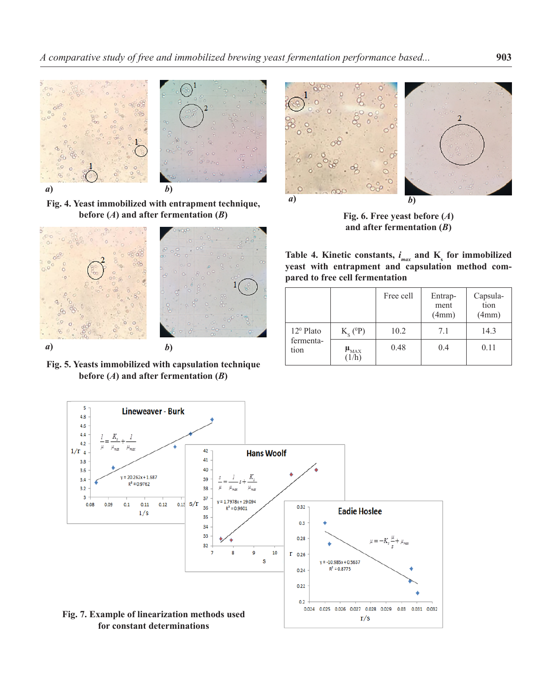

**Fig. 4. Yeast immobilized with entrapment technique, before (***A***) and after fermentation (***B***)**



**Fig. 5. Yeasts immobilized with capsulation technique before**  $(A)$  and after fermentation  $(B)$ 



**Fig. 6. Free yeast before (***A***) and after fermentation (***B***)**

|  | Table 4. Kinetic constants, $i_{max}$ and K <sub>s</sub> for immobilized |  |  |  |
|--|--------------------------------------------------------------------------|--|--|--|
|  | yeast with entrapment and capsulation method com-                        |  |  |  |
|  | pared to free cell fermentation                                          |  |  |  |

|                                         |                        | Free cell | Entrap-<br>ment<br>(4mm) | Capsula-<br>tion<br>(4mm) |
|-----------------------------------------|------------------------|-----------|--------------------------|---------------------------|
| $12^{\circ}$ Plato<br>fermenta-<br>tion | $Ks$ ( <sup>0</sup> P) | 10.2      | 7.1                      | 14.3                      |
|                                         | $\mu_{MAX}$<br>(1/h)   | 0.48      | 0.4                      | 0.11                      |

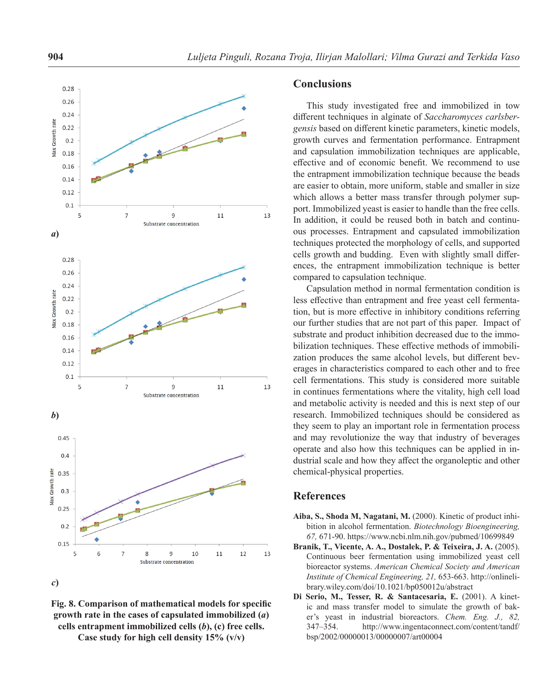

**Fig. 8. Comparison of mathematical models for specific growth rate in the cases of capsulated immobilized (***a***) cells entrapment immobilized cells (***b***), (c) free cells. Case study for high cell density 15% (v/v)**

### **Conclusions**

This study investigated free and immobilized in tow different techniques in alginate of *Saccharomyces carlsbergensis* based on different kinetic parameters, kinetic models, growth curves and fermentation performance. Entrapment and capsulation immobilization techniques are applicable, effective and of economic benefit. We recommend to use the entrapment immobilization technique because the beads are easier to obtain, more uniform, stable and smaller in size which allows a better mass transfer through polymer support. Immobilized yeast is easier to handle than the free cells. In addition, it could be reused both in batch and continuous processes. Entrapment and capsulated immobilization techniques protected the morphology of cells, and supported cells growth and budding. Even with slightly small differences, the entrapment immobilization technique is better compared to capsulation technique.

Capsulation method in normal fermentation condition is less effective than entrapment and free yeast cell fermentation, but is more effective in inhibitory conditions referring our further studies that are not part of this paper. Impact of substrate and product inhibition decreased due to the immobilization techniques. These effective methods of immobilization produces the same alcohol levels, but different beverages in characteristics compared to each other and to free cell fermentations. This study is considered more suitable in continues fermentations where the vitality, high cell load and metabolic activity is needed and this is next step of our research. Immobilized techniques should be considered as they seem to play an important role in fermentation process and may revolutionize the way that industry of beverages operate and also how this techniques can be applied in industrial scale and how they affect the organoleptic and other chemical-physical properties.

## **References**

- **Aiba, S., Shoda M, Nagatani, M.** (2000). Kinetic of product inhibition in alcohol fermentation. *Biotechnology Bioengineering, 67,* 671-90. https://www.ncbi.nlm.nih.gov/pubmed/10699849
- **Branik, T., Vicente, A. A., Dostalek, P. & Teixeira, J. A.** (2005). Continuous beer fermentation using immobilized yeast cell bioreactor systems. *American Chemical Society and American Institute of Chemical Engineering, 21,* 653-663. http://onlinelibrary.wiley.com/doi/10.1021/bp050012u/abstract
- **Di Serio, M., Tesser, R. & Santacesaria, E.** (2001). A kinetic and mass transfer model to simulate the growth of baker's yeast in industrial bioreactors. *Chem. Eng. J., 82,* 347–354. http://www.ingentaconnect.com/content/tandf/ bsp/2002/00000013/00000007/art00004